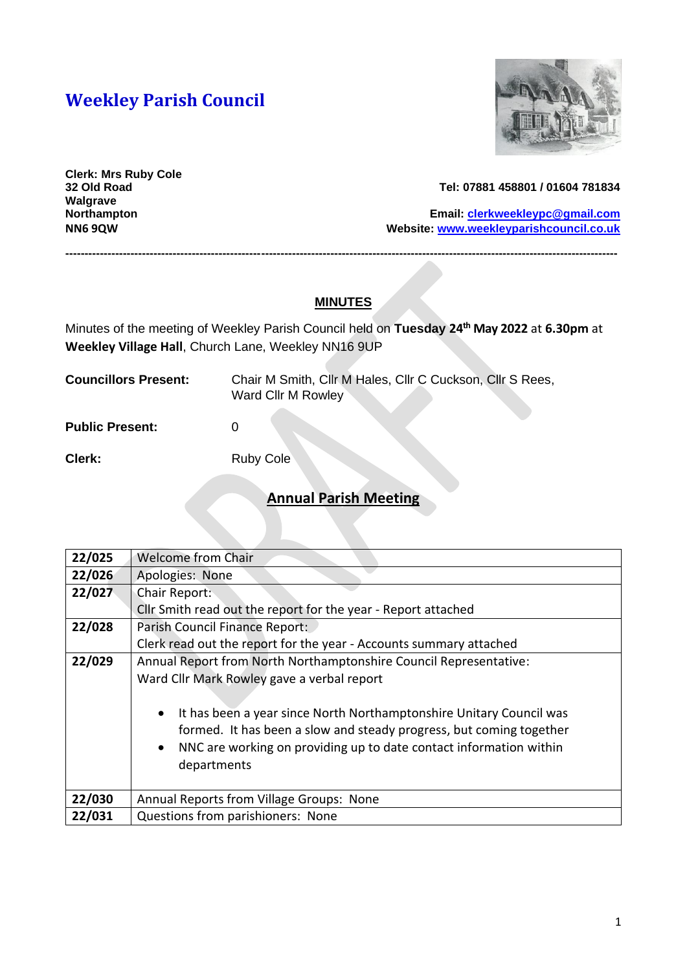# **Weekley Parish Council**



**Clerk: Mrs Ruby Cole Walgrave** 

#### **32 Old Road Tel: 07881 458801 / 01604 781834**

**Northampton Email: [clerkweekleypc@gmail.com](mailto:clerkweekleypc@gmail.com) NN6 9QW Website: [www.weekleyparishcouncil.co.uk](http://www.weekleyparishcouncil.co.uk/)**

### **MINUTES**

**------------------------------------------------------------------------------------------------------------------------------------------------**

Minutes of the meeting of Weekley Parish Council held on **Tuesday 24 th May 2022** at **6.30pm** at **Weekley Village Hall**, Church Lane, Weekley NN16 9UP

| <b>Councillors Present:</b> | Chair M Smith, Cllr M Hales, Cllr C Cuckson, Cllr S Rees,<br>Ward Cllr M Rowley |
|-----------------------------|---------------------------------------------------------------------------------|
| <b>Public Present:</b>      |                                                                                 |

**Clerk:** Ruby Cole

### **Annual Parish Meeting**

| 22/025 | <b>Welcome from Chair</b>                                                        |  |  |
|--------|----------------------------------------------------------------------------------|--|--|
| 22/026 | Apologies: None                                                                  |  |  |
| 22/027 | Chair Report:                                                                    |  |  |
|        | Cllr Smith read out the report for the year - Report attached                    |  |  |
| 22/028 | Parish Council Finance Report:                                                   |  |  |
|        | Clerk read out the report for the year - Accounts summary attached               |  |  |
| 22/029 | Annual Report from North Northamptonshire Council Representative:                |  |  |
|        | Ward Cllr Mark Rowley gave a verbal report                                       |  |  |
|        |                                                                                  |  |  |
|        | It has been a year since North Northamptonshire Unitary Council was<br>$\bullet$ |  |  |
|        | formed. It has been a slow and steady progress, but coming together              |  |  |
|        | NNC are working on providing up to date contact information within<br>$\bullet$  |  |  |
|        | departments                                                                      |  |  |
|        |                                                                                  |  |  |
| 22/030 | Annual Reports from Village Groups: None                                         |  |  |
| 22/031 | Questions from parishioners: None                                                |  |  |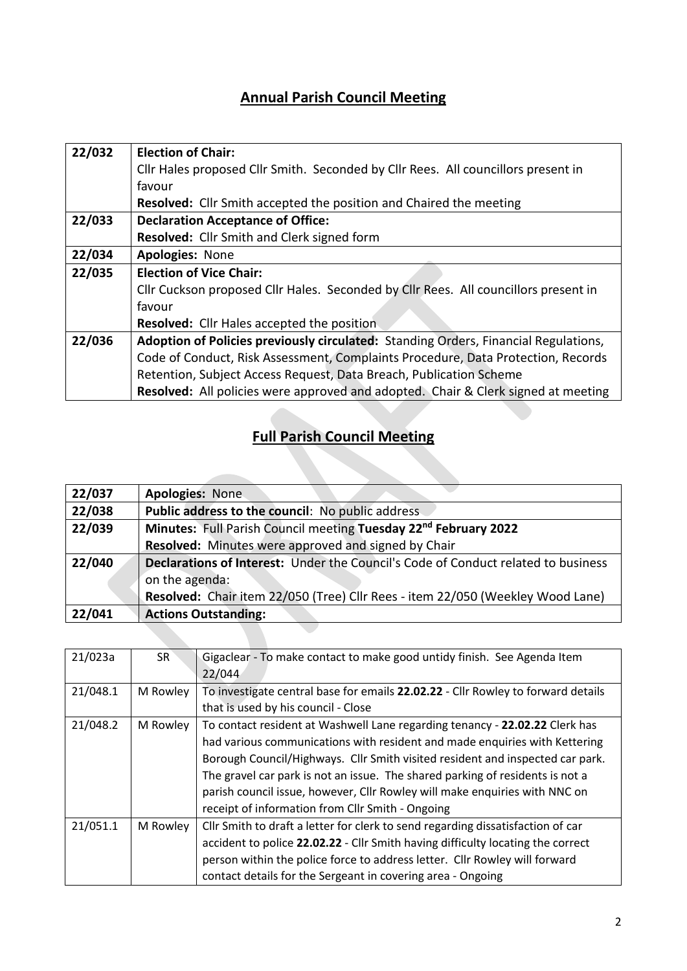## **Annual Parish Council Meeting**

| <b>Election of Chair:</b>                                                                |  |  |
|------------------------------------------------------------------------------------------|--|--|
| Cllr Hales proposed Cllr Smith. Seconded by Cllr Rees. All councillors present in        |  |  |
| favour                                                                                   |  |  |
| Resolved: Cllr Smith accepted the position and Chaired the meeting                       |  |  |
| <b>Declaration Acceptance of Office:</b>                                                 |  |  |
| Resolved: Cllr Smith and Clerk signed form                                               |  |  |
| <b>Apologies: None</b>                                                                   |  |  |
| <b>Election of Vice Chair:</b>                                                           |  |  |
| Cllr Cuckson proposed Cllr Hales. Seconded by Cllr Rees. All councillors present in      |  |  |
| favour                                                                                   |  |  |
| Resolved: Cllr Hales accepted the position                                               |  |  |
| Adoption of Policies previously circulated: Standing Orders, Financial Regulations,      |  |  |
| Code of Conduct, Risk Assessment, Complaints Procedure, Data Protection, Records         |  |  |
| Retention, Subject Access Request, Data Breach, Publication Scheme                       |  |  |
| <b>Resolved:</b> All policies were approved and adopted. Chair & Clerk signed at meeting |  |  |
|                                                                                          |  |  |

# **Full Parish Council Meeting**

| 22/037 | Apologies: None                                                                          |  |  |
|--------|------------------------------------------------------------------------------------------|--|--|
| 22/038 | Public address to the council: No public address                                         |  |  |
| 22/039 | Minutes: Full Parish Council meeting Tuesday 22nd February 2022                          |  |  |
|        | Resolved: Minutes were approved and signed by Chair                                      |  |  |
| 22/040 | <b>Declarations of Interest:</b> Under the Council's Code of Conduct related to business |  |  |
|        | on the agenda:                                                                           |  |  |
|        | Resolved: Chair item 22/050 (Tree) Cllr Rees - item 22/050 (Weekley Wood Lane)           |  |  |
| 22/041 | <b>Actions Outstanding:</b>                                                              |  |  |
|        |                                                                                          |  |  |

| 21/023a  | SR <sup>1</sup> | Gigaclear - To make contact to make good untidy finish. See Agenda Item<br>22/044 |  |
|----------|-----------------|-----------------------------------------------------------------------------------|--|
| 21/048.1 | M Rowley        | To investigate central base for emails 22.02.22 - Cllr Rowley to forward details  |  |
|          |                 | that is used by his council - Close                                               |  |
| 21/048.2 | M Rowley        | To contact resident at Washwell Lane regarding tenancy - 22.02.22 Clerk has       |  |
|          |                 | had various communications with resident and made enquiries with Kettering        |  |
|          |                 | Borough Council/Highways. Cllr Smith visited resident and inspected car park.     |  |
|          |                 | The gravel car park is not an issue. The shared parking of residents is not a     |  |
|          |                 | parish council issue, however, Cllr Rowley will make enquiries with NNC on        |  |
|          |                 | receipt of information from Cllr Smith - Ongoing                                  |  |
| 21/051.1 | M Rowley        | Cllr Smith to draft a letter for clerk to send regarding dissatisfaction of car   |  |
|          |                 | accident to police 22.02.22 - Cllr Smith having difficulty locating the correct   |  |
|          |                 | person within the police force to address letter. Cllr Rowley will forward        |  |
|          |                 | contact details for the Sergeant in covering area - Ongoing                       |  |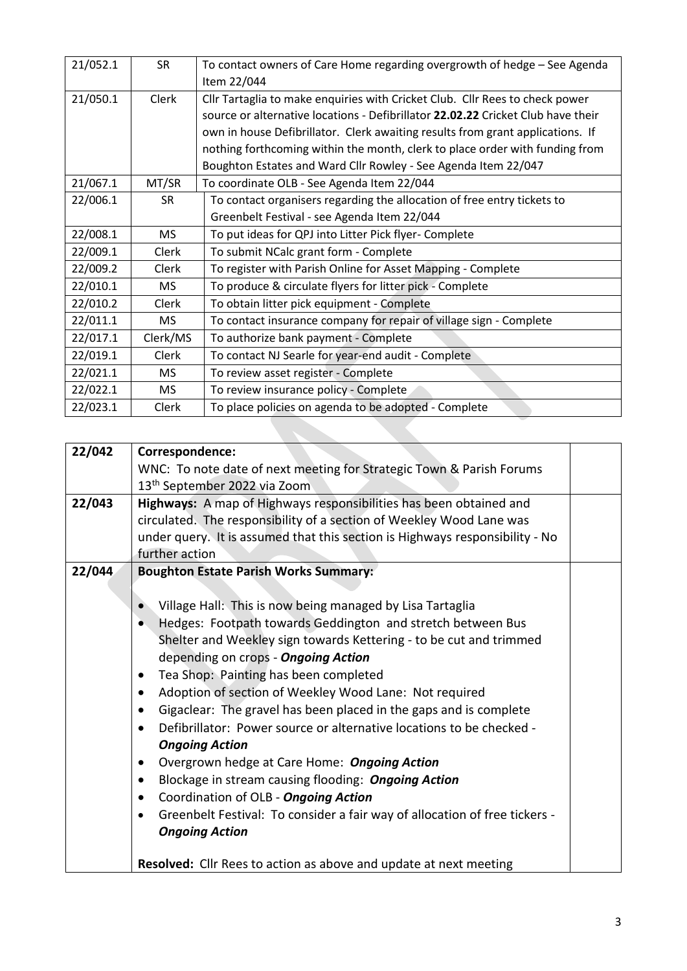| 21/052.1   | <b>SR</b> | To contact owners of Care Home regarding overgrowth of hedge - See Agenda        |  |
|------------|-----------|----------------------------------------------------------------------------------|--|
|            |           | Item 22/044                                                                      |  |
| 21/050.1   | Clerk     | Cllr Tartaglia to make enquiries with Cricket Club. Cllr Rees to check power     |  |
|            |           | source or alternative locations - Defibrillator 22.02.22 Cricket Club have their |  |
|            |           | own in house Defibrillator. Clerk awaiting results from grant applications. If   |  |
|            |           | nothing forthcoming within the month, clerk to place order with funding from     |  |
|            |           | Boughton Estates and Ward Cllr Rowley - See Agenda Item 22/047                   |  |
| 21/067.1   | MT/SR     | To coordinate OLB - See Agenda Item 22/044                                       |  |
| 22/006.1   | <b>SR</b> | To contact organisers regarding the allocation of free entry tickets to          |  |
|            |           | Greenbelt Festival - see Agenda Item 22/044                                      |  |
| 22/008.1   | <b>MS</b> | To put ideas for QPJ into Litter Pick flyer- Complete                            |  |
| 22/009.1   | Clerk     | To submit NCalc grant form - Complete                                            |  |
| 22/009.2   | Clerk     | To register with Parish Online for Asset Mapping - Complete                      |  |
| 22/010.1   | <b>MS</b> | To produce & circulate flyers for litter pick - Complete                         |  |
| 22/010.2   | Clerk     | To obtain litter pick equipment - Complete                                       |  |
| 22/011.1   | MS.       | To contact insurance company for repair of village sign - Complete               |  |
| 22/017.1   | Clerk/MS  | To authorize bank payment - Complete                                             |  |
| 22/019.1   | Clerk     | To contact NJ Searle for year-end audit - Complete                               |  |
| 22/021.1   | <b>MS</b> | To review asset register - Complete                                              |  |
| 22/022.1   | <b>MS</b> | To review insurance policy - Complete                                            |  |
| 22/023.1   | Clerk     | To place policies on agenda to be adopted - Complete                             |  |
|            |           |                                                                                  |  |
| $-1 - - -$ |           |                                                                                  |  |

| 22/042 | Correspondence:                                                                         |  |  |
|--------|-----------------------------------------------------------------------------------------|--|--|
|        | WNC: To note date of next meeting for Strategic Town & Parish Forums                    |  |  |
|        | 13 <sup>th</sup> September 2022 via Zoom                                                |  |  |
| 22/043 | Highways: A map of Highways responsibilities has been obtained and                      |  |  |
|        | circulated. The responsibility of a section of Weekley Wood Lane was                    |  |  |
|        | under query. It is assumed that this section is Highways responsibility - No            |  |  |
|        | further action                                                                          |  |  |
| 22/044 | <b>Boughton Estate Parish Works Summary:</b>                                            |  |  |
|        |                                                                                         |  |  |
|        | Village Hall: This is now being managed by Lisa Tartaglia                               |  |  |
|        | Hedges: Footpath towards Geddington and stretch between Bus<br>$\bullet$                |  |  |
|        | Shelter and Weekley sign towards Kettering - to be cut and trimmed                      |  |  |
|        | depending on crops - Ongoing Action                                                     |  |  |
|        | Tea Shop: Painting has been completed<br>$\bullet$                                      |  |  |
|        | Adoption of section of Weekley Wood Lane: Not required<br>$\bullet$                     |  |  |
|        | Gigaclear: The gravel has been placed in the gaps and is complete<br>$\bullet$          |  |  |
|        | Defibrillator: Power source or alternative locations to be checked -<br>$\bullet$       |  |  |
|        | <b>Ongoing Action</b>                                                                   |  |  |
|        | Overgrown hedge at Care Home: Ongoing Action<br>$\bullet$                               |  |  |
|        | Blockage in stream causing flooding: Ongoing Action<br>$\bullet$                        |  |  |
|        | Coordination of OLB - Ongoing Action<br>$\bullet$                                       |  |  |
|        | Greenbelt Festival: To consider a fair way of allocation of free tickers -<br>$\bullet$ |  |  |
|        | <b>Ongoing Action</b>                                                                   |  |  |
|        |                                                                                         |  |  |
|        | Resolved: Cllr Rees to action as above and update at next meeting                       |  |  |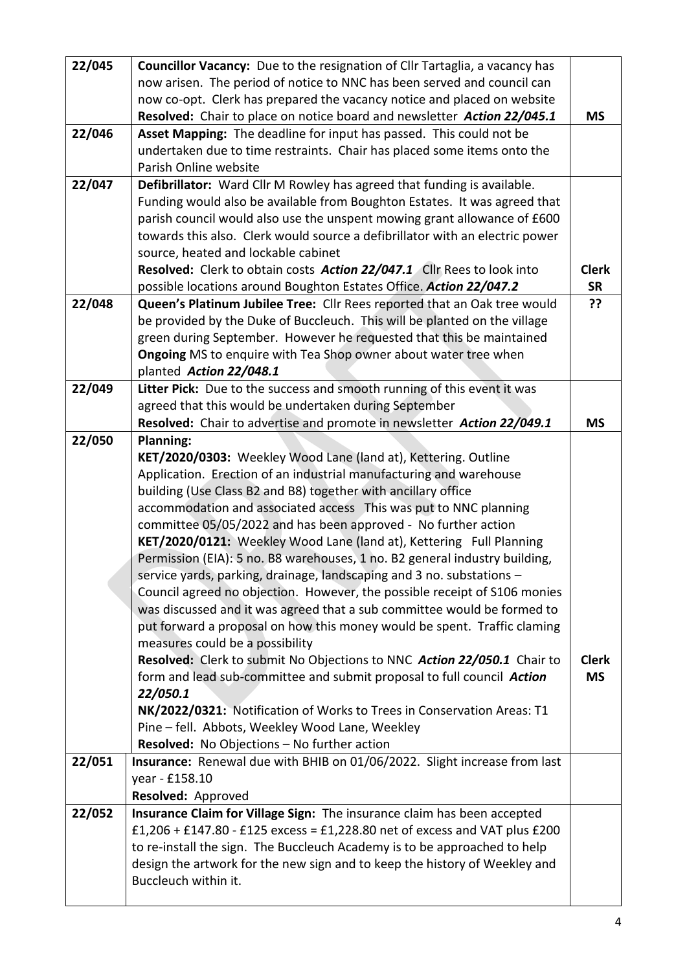| 22/045 |                                                                              |              |
|--------|------------------------------------------------------------------------------|--------------|
|        | Councillor Vacancy: Due to the resignation of Cllr Tartaglia, a vacancy has  |              |
|        | now arisen. The period of notice to NNC has been served and council can      |              |
|        | now co-opt. Clerk has prepared the vacancy notice and placed on website      |              |
|        | Resolved: Chair to place on notice board and newsletter Action 22/045.1      | <b>MS</b>    |
| 22/046 | Asset Mapping: The deadline for input has passed. This could not be          |              |
|        | undertaken due to time restraints. Chair has placed some items onto the      |              |
|        | Parish Online website                                                        |              |
| 22/047 | Defibrillator: Ward Cllr M Rowley has agreed that funding is available.      |              |
|        | Funding would also be available from Boughton Estates. It was agreed that    |              |
|        | parish council would also use the unspent mowing grant allowance of £600     |              |
|        | towards this also. Clerk would source a defibrillator with an electric power |              |
|        | source, heated and lockable cabinet                                          |              |
|        | Resolved: Clerk to obtain costs Action 22/047.1 Cllr Rees to look into       | <b>Clerk</b> |
|        | possible locations around Boughton Estates Office. Action 22/047.2           | <b>SR</b>    |
| 22/048 | Queen's Platinum Jubilee Tree: Cllr Rees reported that an Oak tree would     | ??           |
|        | be provided by the Duke of Buccleuch. This will be planted on the village    |              |
|        | green during September. However he requested that this be maintained         |              |
|        | Ongoing MS to enquire with Tea Shop owner about water tree when              |              |
|        | planted Action 22/048.1                                                      |              |
| 22/049 | Litter Pick: Due to the success and smooth running of this event it was      |              |
|        | agreed that this would be undertaken during September                        |              |
|        | Resolved: Chair to advertise and promote in newsletter Action 22/049.1       | <b>MS</b>    |
| 22/050 | <b>Planning:</b>                                                             |              |
|        | KET/2020/0303: Weekley Wood Lane (land at), Kettering. Outline               |              |
|        | Application. Erection of an industrial manufacturing and warehouse           |              |
|        | building (Use Class B2 and B8) together with ancillary office                |              |
|        | accommodation and associated access This was put to NNC planning             |              |
|        | committee 05/05/2022 and has been approved - No further action               |              |
|        | KET/2020/0121: Weekley Wood Lane (land at), Kettering Full Planning          |              |
|        | Permission (EIA): 5 no. B8 warehouses, 1 no. B2 general industry building,   |              |
|        | service yards, parking, drainage, landscaping and 3 no. substations -        |              |
|        | Council agreed no objection. However, the possible receipt of S106 monies    |              |
|        | was discussed and it was agreed that a sub committee would be formed to      |              |
|        | put forward a proposal on how this money would be spent. Traffic claming     |              |
|        | measures could be a possibility                                              |              |
|        | Resolved: Clerk to submit No Objections to NNC Action 22/050.1 Chair to      | <b>Clerk</b> |
|        | form and lead sub-committee and submit proposal to full council Action       | <b>MS</b>    |
|        | 22/050.1                                                                     |              |
|        | NK/2022/0321: Notification of Works to Trees in Conservation Areas: T1       |              |
|        | Pine - fell. Abbots, Weekley Wood Lane, Weekley                              |              |
|        | Resolved: No Objections - No further action                                  |              |
| 22/051 | Insurance: Renewal due with BHIB on 01/06/2022. Slight increase from last    |              |
|        | year - £158.10                                                               |              |
|        | Resolved: Approved                                                           |              |
| 22/052 | Insurance Claim for Village Sign: The insurance claim has been accepted      |              |
|        | £1,206 + £147.80 - £125 excess = £1,228.80 net of excess and VAT plus £200   |              |
|        | to re-install the sign. The Buccleuch Academy is to be approached to help    |              |
|        | design the artwork for the new sign and to keep the history of Weekley and   |              |
|        | Buccleuch within it.                                                         |              |
|        |                                                                              |              |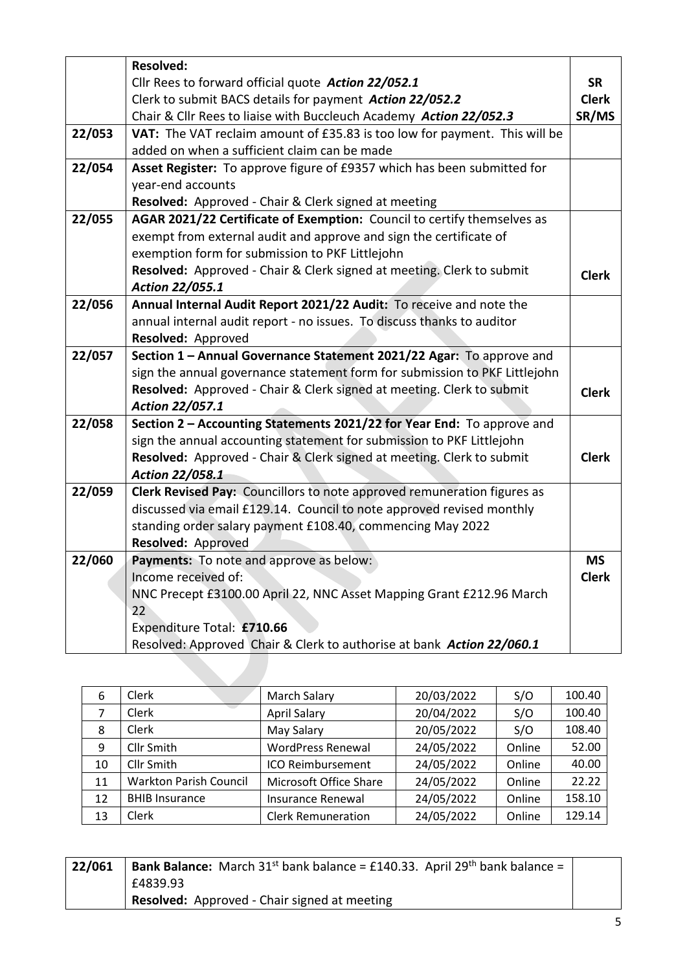|        | <b>Resolved:</b>                                                           |              |
|--------|----------------------------------------------------------------------------|--------------|
|        | Cllr Rees to forward official quote Action 22/052.1                        | <b>SR</b>    |
|        | Clerk to submit BACS details for payment Action 22/052.2                   | <b>Clerk</b> |
|        | Chair & Cllr Rees to liaise with Buccleuch Academy Action 22/052.3         | SR/MS        |
| 22/053 | VAT: The VAT reclaim amount of £35.83 is too low for payment. This will be |              |
|        | added on when a sufficient claim can be made                               |              |
| 22/054 | Asset Register: To approve figure of £9357 which has been submitted for    |              |
|        | year-end accounts                                                          |              |
|        | Resolved: Approved - Chair & Clerk signed at meeting                       |              |
| 22/055 | AGAR 2021/22 Certificate of Exemption: Council to certify themselves as    |              |
|        | exempt from external audit and approve and sign the certificate of         |              |
|        | exemption form for submission to PKF Littlejohn                            |              |
|        | Resolved: Approved - Chair & Clerk signed at meeting. Clerk to submit      | <b>Clerk</b> |
|        | Action 22/055.1                                                            |              |
| 22/056 | Annual Internal Audit Report 2021/22 Audit: To receive and note the        |              |
|        | annual internal audit report - no issues. To discuss thanks to auditor     |              |
|        | Resolved: Approved                                                         |              |
| 22/057 | Section 1 - Annual Governance Statement 2021/22 Agar: To approve and       |              |
|        | sign the annual governance statement form for submission to PKF Littlejohn |              |
|        | Resolved: Approved - Chair & Clerk signed at meeting. Clerk to submit      | <b>Clerk</b> |
|        | Action 22/057.1                                                            |              |
| 22/058 | Section 2 - Accounting Statements 2021/22 for Year End: To approve and     |              |
|        | sign the annual accounting statement for submission to PKF Littlejohn      |              |
|        | Resolved: Approved - Chair & Clerk signed at meeting. Clerk to submit      | <b>Clerk</b> |
|        | Action 22/058.1                                                            |              |
| 22/059 | Clerk Revised Pay: Councillors to note approved remuneration figures as    |              |
|        | discussed via email £129.14. Council to note approved revised monthly      |              |
|        | standing order salary payment £108.40, commencing May 2022                 |              |
|        | Resolved: Approved                                                         |              |
| 22/060 | Payments: To note and approve as below:                                    | <b>MS</b>    |
|        | Income received of:                                                        | <b>Clerk</b> |
|        | NNC Precept £3100.00 April 22, NNC Asset Mapping Grant £212.96 March       |              |
|        | 22                                                                         |              |
|        | Expenditure Total: £710.66                                                 |              |
|        | Resolved: Approved Chair & Clerk to authorise at bank Action 22/060.1      |              |

| 6  | Clerk                         | <b>March Salary</b>       | 20/03/2022 | S/O    | 100.40 |
|----|-------------------------------|---------------------------|------------|--------|--------|
| 7  | Clerk                         | <b>April Salary</b>       | 20/04/2022 | S/O    | 100.40 |
| 8  | Clerk                         | May Salary                | 20/05/2022 | S/O    | 108.40 |
| 9  | Cllr Smith                    | <b>WordPress Renewal</b>  | 24/05/2022 | Online | 52.00  |
| 10 | Cllr Smith                    | ICO Reimbursement         | 24/05/2022 | Online | 40.00  |
| 11 | <b>Warkton Parish Council</b> | Microsoft Office Share    | 24/05/2022 | Online | 22.22  |
| 12 | <b>BHIB Insurance</b>         | <b>Insurance Renewal</b>  | 24/05/2022 | Online | 158.10 |
| 13 | Clerk                         | <b>Clerk Remuneration</b> | 24/05/2022 | Online | 129.14 |

| 22/061 | <b>Bank Balance:</b> March $31^{st}$ bank balance = £140.33. April $29^{th}$ bank balance = |  |
|--------|---------------------------------------------------------------------------------------------|--|
|        | £4839.93                                                                                    |  |
|        | <b>Resolved:</b> Approved - Chair signed at meeting                                         |  |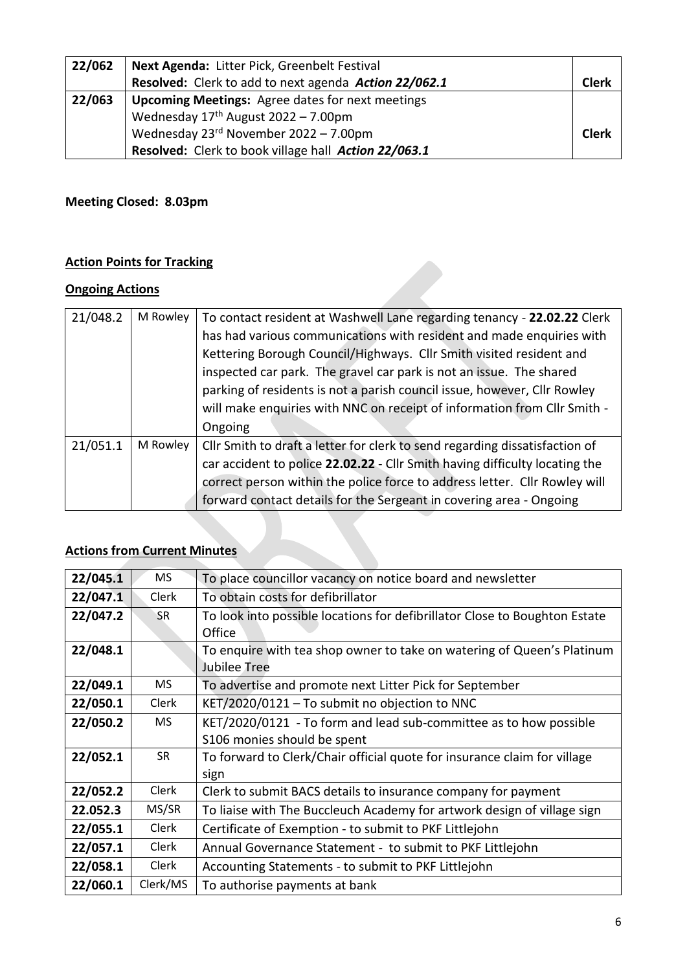| 22/062 | Next Agenda: Litter Pick, Greenbelt Festival            |              |
|--------|---------------------------------------------------------|--------------|
|        | Resolved: Clerk to add to next agenda Action 22/062.1   | Clerk        |
| 22/063 | <b>Upcoming Meetings:</b> Agree dates for next meetings |              |
|        | Wednesday $17th$ August 2022 - 7.00pm                   |              |
|        | Wednesday $23^{rd}$ November $2022 - 7.00$ pm           | <b>Clerk</b> |
|        | Resolved: Clerk to book village hall Action 22/063.1    |              |

## **Meeting Closed: 8.03pm**

## **Action Points for Tracking**

### **Ongoing Actions**

| 21/048.2 | M Rowley | To contact resident at Washwell Lane regarding tenancy - 22.02.22 Clerk<br>has had various communications with resident and made enquiries with |  |  |  |  |  |
|----------|----------|-------------------------------------------------------------------------------------------------------------------------------------------------|--|--|--|--|--|
|          |          |                                                                                                                                                 |  |  |  |  |  |
|          |          | Kettering Borough Council/Highways. Cllr Smith visited resident and                                                                             |  |  |  |  |  |
|          |          | inspected car park. The gravel car park is not an issue. The shared                                                                             |  |  |  |  |  |
|          |          | parking of residents is not a parish council issue, however, Cllr Rowley                                                                        |  |  |  |  |  |
|          |          | will make enquiries with NNC on receipt of information from Cllr Smith -                                                                        |  |  |  |  |  |
|          |          | Ongoing                                                                                                                                         |  |  |  |  |  |
| 21/051.1 | M Rowley | Cllr Smith to draft a letter for clerk to send regarding dissatisfaction of                                                                     |  |  |  |  |  |
|          |          | car accident to police 22.02.22 - Cllr Smith having difficulty locating the                                                                     |  |  |  |  |  |
|          |          | correct person within the police force to address letter. Cllr Rowley will                                                                      |  |  |  |  |  |
|          |          | forward contact details for the Sergeant in covering area - Ongoing                                                                             |  |  |  |  |  |

## **Actions from Current Minutes**

| 22/045.1 | <b>MS</b>    | To place councillor vacancy on notice board and newsletter                 |  |  |  |
|----------|--------------|----------------------------------------------------------------------------|--|--|--|
| 22/047.1 | Clerk        | To obtain costs for defibrillator                                          |  |  |  |
| 22/047.2 | <b>SR</b>    | To look into possible locations for defibrillator Close to Boughton Estate |  |  |  |
|          |              | Office                                                                     |  |  |  |
| 22/048.1 |              | To enquire with tea shop owner to take on watering of Queen's Platinum     |  |  |  |
|          |              | <b>Jubilee Tree</b>                                                        |  |  |  |
| 22/049.1 | <b>MS</b>    | To advertise and promote next Litter Pick for September                    |  |  |  |
| 22/050.1 | Clerk        | KET/2020/0121 - To submit no objection to NNC                              |  |  |  |
| 22/050.2 | <b>MS</b>    | KET/2020/0121 - To form and lead sub-committee as to how possible          |  |  |  |
|          |              | S106 monies should be spent                                                |  |  |  |
| 22/052.1 | <b>SR</b>    | To forward to Clerk/Chair official quote for insurance claim for village   |  |  |  |
|          |              | sign                                                                       |  |  |  |
| 22/052.2 | <b>Clerk</b> | Clerk to submit BACS details to insurance company for payment              |  |  |  |
| 22.052.3 | MS/SR        | To liaise with The Buccleuch Academy for artwork design of village sign    |  |  |  |
| 22/055.1 | Clerk        | Certificate of Exemption - to submit to PKF Littlejohn                     |  |  |  |
| 22/057.1 | Clerk        | Annual Governance Statement - to submit to PKF Littlejohn                  |  |  |  |
| 22/058.1 | Clerk        | Accounting Statements - to submit to PKF Littlejohn                        |  |  |  |
| 22/060.1 | Clerk/MS     | To authorise payments at bank                                              |  |  |  |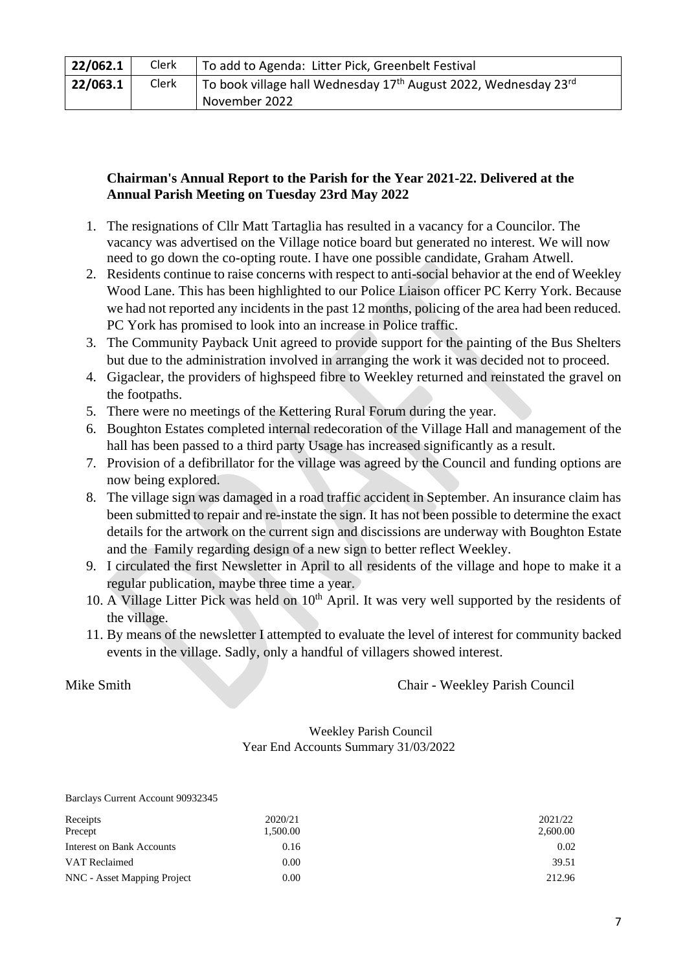| 22/062.1 | Clerk | To add to Agenda: Litter Pick, Greenbelt Festival                           |
|----------|-------|-----------------------------------------------------------------------------|
| 22/063.1 | Clerk | To book village hall Wednesday 17 <sup>th</sup> August 2022, Wednesday 23rd |
|          |       | November 2022                                                               |

#### **Chairman's Annual Report to the Parish for the Year 2021-22. Delivered at the Annual Parish Meeting on Tuesday 23rd May 2022**

- 1. The resignations of Cllr Matt Tartaglia has resulted in a vacancy for a Councilor. The vacancy was advertised on the Village notice board but generated no interest. We will now need to go down the co-opting route. I have one possible candidate, Graham Atwell.
- 2. Residents continue to raise concerns with respect to anti-social behavior at the end of Weekley Wood Lane. This has been highlighted to our Police Liaison officer PC Kerry York. Because we had not reported any incidents in the past 12 months, policing of the area had been reduced. PC York has promised to look into an increase in Police traffic.
- 3. The Community Payback Unit agreed to provide support for the painting of the Bus Shelters but due to the administration involved in arranging the work it was decided not to proceed.
- 4. Gigaclear, the providers of highspeed fibre to Weekley returned and reinstated the gravel on the footpaths.
- 5. There were no meetings of the Kettering Rural Forum during the year.
- 6. Boughton Estates completed internal redecoration of the Village Hall and management of the hall has been passed to a third party Usage has increased significantly as a result.
- 7. Provision of a defibrillator for the village was agreed by the Council and funding options are now being explored.
- 8. The village sign was damaged in a road traffic accident in September. An insurance claim has been submitted to repair and re-instate the sign. It has not been possible to determine the exact details for the artwork on the current sign and discissions are underway with Boughton Estate and the Family regarding design of a new sign to better reflect Weekley.
- 9. I circulated the first Newsletter in April to all residents of the village and hope to make it a regular publication, maybe three time a year.
- 10. A Village Litter Pick was held on  $10<sup>th</sup>$  April. It was very well supported by the residents of the village.
- 11. By means of the newsletter I attempted to evaluate the level of interest for community backed events in the village. Sadly, only a handful of villagers showed interest.

Mike Smith Council Chair - Weekley Parish Council

#### Weekley Parish Council Year End Accounts Summary 31/03/2022

#### Barclays Current Account 90932345

| Receipts                    | 2020/21  | 2021/22  |
|-----------------------------|----------|----------|
| Precept                     | 1,500.00 | 2,600.00 |
| Interest on Bank Accounts   | 0.16     | 0.02     |
| VAT Reclaimed               | 0.00     | 39.51    |
| NNC - Asset Mapping Project | 0.00     | 212.96   |